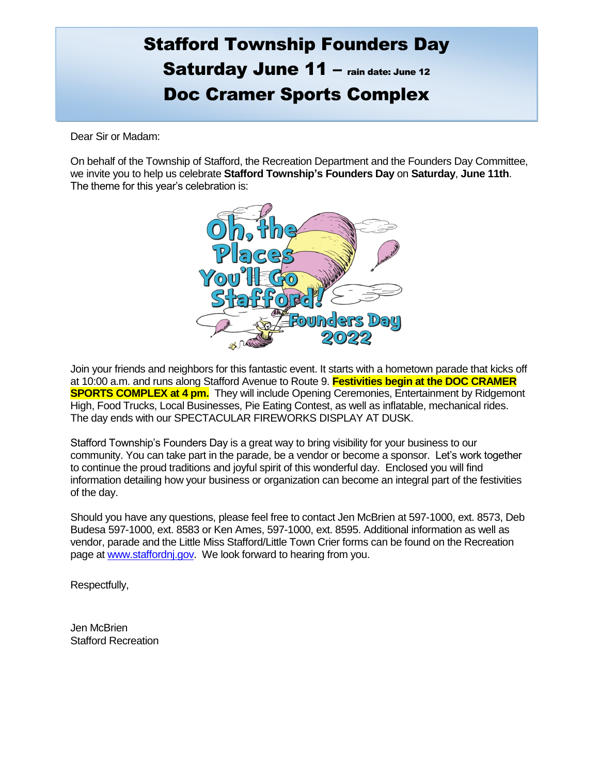## Stafford Township Founders Day Saturday June 11 – rain date: June 12 Doc Cramer Sports Complex

Dear Sir or Madam:

On behalf of the Township of Stafford, the Recreation Department and the Founders Day Committee, we invite you to help us celebrate **Stafford Township's Founders Day** on **Saturday**, **June 11th**. The theme for this year's celebration is:



Join your friends and neighbors for this fantastic event. It starts with a hometown parade that kicks off at 10:00 a.m. and runs along Stafford Avenue to Route 9. **Festivities begin at the DOC CRAMER SPORTS COMPLEX at 4 pm.** They will include Opening Ceremonies, Entertainment by Ridgemont High, Food Trucks, Local Businesses, Pie Eating Contest, as well as inflatable, mechanical rides. The day ends with our SPECTACULAR FIREWORKS DISPLAY AT DUSK.

Stafford Township's Founders Day is a great way to bring visibility for your business to our community. You can take part in the parade, be a vendor or become a sponsor. Let's work together to continue the proud traditions and joyful spirit of this wonderful day. Enclosed you will find information detailing how your business or organization can become an integral part of the festivities of the day.

Should you have any questions, please feel free to contact Jen McBrien at 597-1000, ext. 8573, Deb Budesa 597-1000, ext. 8583 or Ken Ames, 597-1000, ext. 8595. Additional information as well as vendor, parade and the Little Miss Stafford/Little Town Crier forms can be found on the Recreation page at [www.staffordnj.gov.](http://www.staffordnj.gov/) We look forward to hearing from you.

Respectfully,

Jen McBrien Stafford Recreation